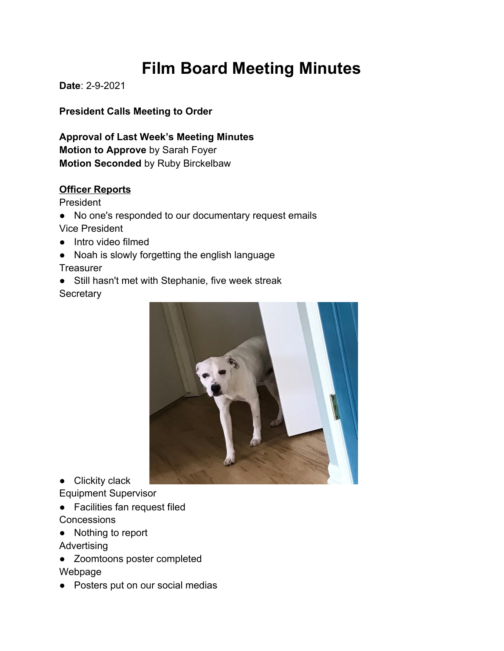# **Film Board Meeting Minutes**

**Date**: 2-9-2021

**President Calls Meeting to Order**

**Approval of Last Week's Meeting Minutes Motion to Approve** by Sarah Foyer **Motion Seconded** by Ruby Birckelbaw

## **Officer Reports**

President

● No one's responded to our documentary request emails Vice President

- Intro video filmed
- Noah is slowly forgetting the english language **Treasurer**
- Still hasn't met with Stephanie, five week streak **Secretary**



● Clickity clack

Equipment Supervisor

- Facilities fan request filed **Concessions**
- Nothing to report

Advertising

- Zoomtoons poster completed Webpage
- Posters put on our social medias